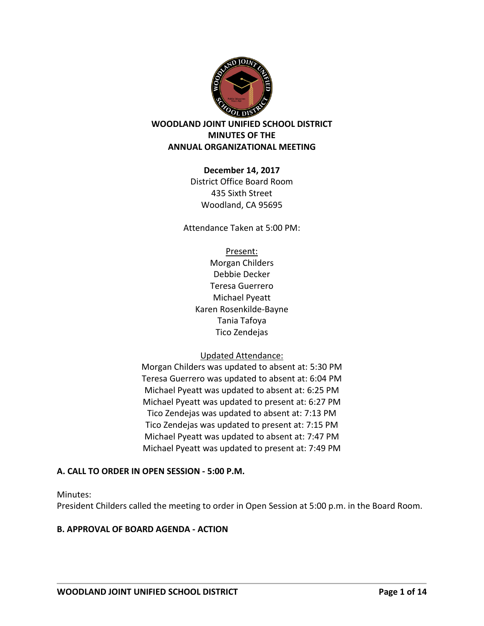

# **WOODLAND JOINT UNIFIED SCHOOL DISTRICT MINUTES OF THE ANNUAL ORGANIZATIONAL MEETING**

### **December 14, 2017**

District Office Board Room 435 Sixth Street Woodland, CA 95695

Attendance Taken at 5:00 PM:

Present: Morgan Childers Debbie Decker Teresa Guerrero Michael Pyeatt Karen Rosenkilde-Bayne Tania Tafoya Tico Zendejas

# Updated Attendance:

Morgan Childers was updated to absent at: 5:30 PM Teresa Guerrero was updated to absent at: 6:04 PM Michael Pyeatt was updated to absent at: 6:25 PM Michael Pyeatt was updated to present at: 6:27 PM Tico Zendejas was updated to absent at: 7:13 PM Tico Zendejas was updated to present at: 7:15 PM Michael Pyeatt was updated to absent at: 7:47 PM Michael Pyeatt was updated to present at: 7:49 PM

# **A. CALL TO ORDER IN OPEN SESSION - 5:00 P.M.**

Minutes:

President Childers called the meeting to order in Open Session at 5:00 p.m. in the Board Room.

# **B. APPROVAL OF BOARD AGENDA - ACTION**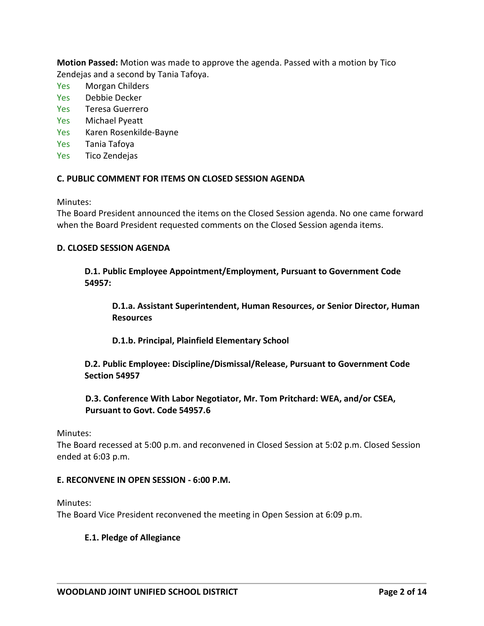**Motion Passed:** Motion was made to approve the agenda. Passed with a motion by Tico Zendejas and a second by Tania Tafoya.

- Yes Morgan Childers
- Yes Debbie Decker
- Yes Teresa Guerrero
- Yes Michael Pyeatt
- Yes Karen Rosenkilde-Bayne
- Yes Tania Tafoya
- Yes Tico Zendejas

### **C. PUBLIC COMMENT FOR ITEMS ON CLOSED SESSION AGENDA**

Minutes:

The Board President announced the items on the Closed Session agenda. No one came forward when the Board President requested comments on the Closed Session agenda items.

### **D. CLOSED SESSION AGENDA**

**D.1. Public Employee Appointment/Employment, Pursuant to Government Code 54957:** 

**D.1.a. Assistant Superintendent, Human Resources, or Senior Director, Human Resources**

**D.1.b. Principal, Plainfield Elementary School** 

**D.2. Public Employee: Discipline/Dismissal/Release, Pursuant to Government Code Section 54957** 

**D.3. Conference With Labor Negotiator, Mr. Tom Pritchard: WEA, and/or CSEA, Pursuant to Govt. Code 54957.6** 

Minutes:

The Board recessed at 5:00 p.m. and reconvened in Closed Session at 5:02 p.m. Closed Session ended at 6:03 p.m.

### **E. RECONVENE IN OPEN SESSION - 6:00 P.M.**

Minutes:

The Board Vice President reconvened the meeting in Open Session at 6:09 p.m.

### **E.1. Pledge of Allegiance**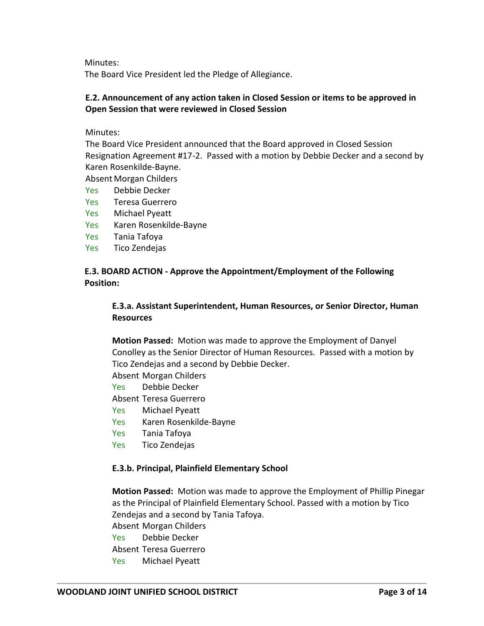Minutes:

The Board Vice President led the Pledge of Allegiance.

### **E.2. Announcement of any action taken in Closed Session or items to be approved in Open Session that were reviewed in Closed Session**

Minutes:

The Board Vice President announced that the Board approved in Closed Session Resignation Agreement #17-2. Passed with a motion by Debbie Decker and a second by Karen Rosenkilde-Bayne.

Absent Morgan Childers

- Yes Debbie Decker
- Yes Teresa Guerrero
- Yes Michael Pyeatt
- Yes Karen Rosenkilde-Bayne
- Yes Tania Tafoya
- Yes Tico Zendejas

### **E.3. BOARD ACTION - Approve the Appointment/Employment of the Following Position:**

# **E.3.a. Assistant Superintendent, Human Resources, or Senior Director, Human Resources**

**Motion Passed:** Motion was made to approve the Employment of Danyel Conolley as the Senior Director of Human Resources. Passed with a motion by Tico Zendejas and a second by Debbie Decker.

Absent Morgan Childers

Yes Debbie Decker

Absent Teresa Guerrero

- Yes Michael Pyeatt
- Yes Karen Rosenkilde-Bayne
- Yes Tania Tafoya
- Yes Tico Zendejas

### **E.3.b. Principal, Plainfield Elementary School**

**Motion Passed:** Motion was made to approve the Employment of Phillip Pinegar as the Principal of Plainfield Elementary School. Passed with a motion by Tico Zendejas and a second by Tania Tafoya.

Absent Morgan Childers Yes Debbie Decker Absent Teresa Guerrero Yes Michael Pyeatt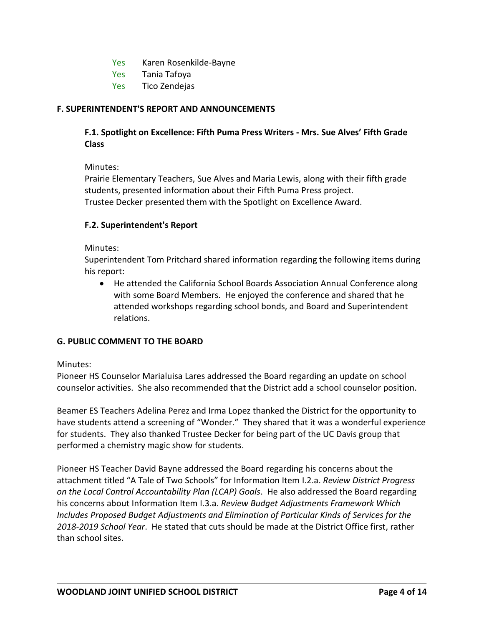- Yes Karen Rosenkilde-Bayne
- Yes Tania Tafoya
- Yes Tico Zendejas

### **F. SUPERINTENDENT'S REPORT AND ANNOUNCEMENTS**

# **F.1. Spotlight on Excellence: Fifth Puma Press Writers - Mrs. Sue Alves' Fifth Grade Class**

Minutes:

Prairie Elementary Teachers, Sue Alves and Maria Lewis, along with their fifth grade students, presented information about their Fifth Puma Press project. Trustee Decker presented them with the Spotlight on Excellence Award.

### **F.2. Superintendent's Report**

Minutes:

Superintendent Tom Pritchard shared information regarding the following items during his report:

 He attended the California School Boards Association Annual Conference along with some Board Members. He enjoyed the conference and shared that he attended workshops regarding school bonds, and Board and Superintendent relations.

# **G. PUBLIC COMMENT TO THE BOARD**

Minutes:

Pioneer HS Counselor Marialuisa Lares addressed the Board regarding an update on school counselor activities. She also recommended that the District add a school counselor position.

Beamer ES Teachers Adelina Perez and Irma Lopez thanked the District for the opportunity to have students attend a screening of "Wonder." They shared that it was a wonderful experience for students. They also thanked Trustee Decker for being part of the UC Davis group that performed a chemistry magic show for students.

Pioneer HS Teacher David Bayne addressed the Board regarding his concerns about the attachment titled "A Tale of Two Schools" for Information Item I.2.a. *Review District Progress on the Local Control Accountability Plan (LCAP) Goals*. He also addressed the Board regarding his concerns about Information Item I.3.a. *Review Budget Adjustments Framework Which Includes Proposed Budget Adjustments and Elimination of Particular Kinds of Services for the 2018-2019 School Year*. He stated that cuts should be made at the District Office first, rather than school sites.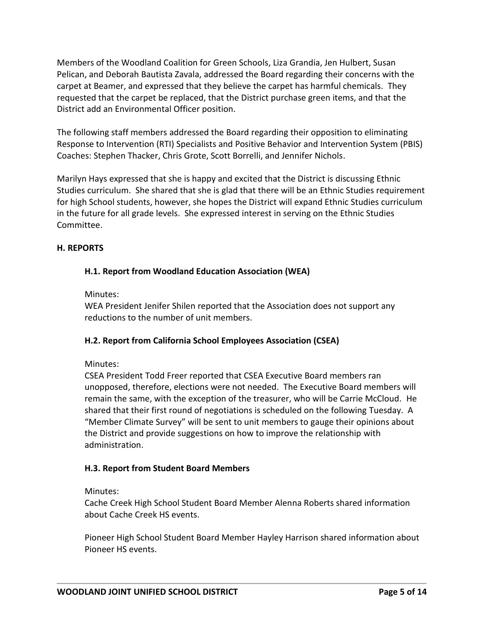Members of the Woodland Coalition for Green Schools, Liza Grandia, Jen Hulbert, Susan Pelican, and Deborah Bautista Zavala, addressed the Board regarding their concerns with the carpet at Beamer, and expressed that they believe the carpet has harmful chemicals. They requested that the carpet be replaced, that the District purchase green items, and that the District add an Environmental Officer position.

The following staff members addressed the Board regarding their opposition to eliminating Response to Intervention (RTI) Specialists and Positive Behavior and Intervention System (PBIS) Coaches: Stephen Thacker, Chris Grote, Scott Borrelli, and Jennifer Nichols.

Marilyn Hays expressed that she is happy and excited that the District is discussing Ethnic Studies curriculum. She shared that she is glad that there will be an Ethnic Studies requirement for high School students, however, she hopes the District will expand Ethnic Studies curriculum in the future for all grade levels. She expressed interest in serving on the Ethnic Studies Committee.

# **H. REPORTS**

# **H.1. Report from Woodland Education Association (WEA)**

### Minutes:

WEA President Jenifer Shilen reported that the Association does not support any reductions to the number of unit members.

# **H.2. Report from California School Employees Association (CSEA)**

### Minutes:

CSEA President Todd Freer reported that CSEA Executive Board members ran unopposed, therefore, elections were not needed. The Executive Board members will remain the same, with the exception of the treasurer, who will be Carrie McCloud. He shared that their first round of negotiations is scheduled on the following Tuesday. A "Member Climate Survey" will be sent to unit members to gauge their opinions about the District and provide suggestions on how to improve the relationship with administration.

### **H.3. Report from Student Board Members**

### Minutes:

Cache Creek High School Student Board Member Alenna Roberts shared information about Cache Creek HS events.

Pioneer High School Student Board Member Hayley Harrison shared information about Pioneer HS events.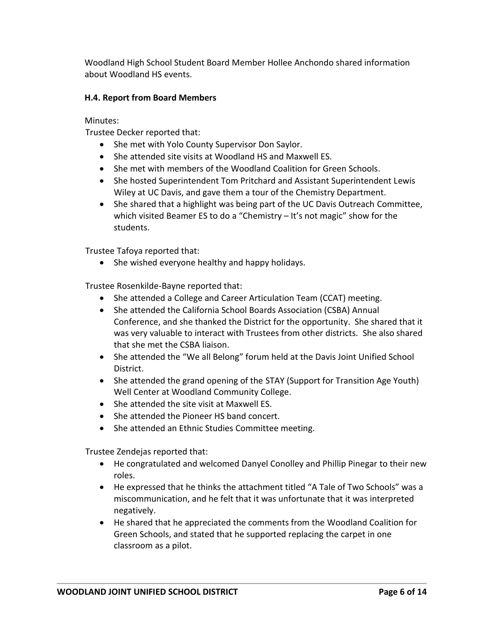Woodland High School Student Board Member Hollee Anchondo shared information about Woodland HS events.

# **H.4. Report from Board Members**

Minutes:

Trustee Decker reported that:

- She met with Yolo County Supervisor Don Saylor.
- She attended site visits at Woodland HS and Maxwell ES.
- She met with members of the Woodland Coalition for Green Schools.
- She hosted Superintendent Tom Pritchard and Assistant Superintendent Lewis Wiley at UC Davis, and gave them a tour of the Chemistry Department.
- She shared that a highlight was being part of the UC Davis Outreach Committee, which visited Beamer ES to do a "Chemistry – It's not magic" show for the students.

Trustee Tafoya reported that:

• She wished everyone healthy and happy holidays.

Trustee Rosenkilde-Bayne reported that:

- She attended a College and Career Articulation Team (CCAT) meeting.
- She attended the California School Boards Association (CSBA) Annual Conference, and she thanked the District for the opportunity. She shared that it was very valuable to interact with Trustees from other districts. She also shared that she met the CSBA liaison.
- She attended the "We all Belong" forum held at the Davis Joint Unified School District.
- She attended the grand opening of the STAY (Support for Transition Age Youth) Well Center at Woodland Community College.
- She attended the site visit at Maxwell ES.
- She attended the Pioneer HS band concert.
- She attended an Ethnic Studies Committee meeting.

Trustee Zendejas reported that:

- He congratulated and welcomed Danyel Conolley and Phillip Pinegar to their new roles.
- He expressed that he thinks the attachment titled "A Tale of Two Schools" was a miscommunication, and he felt that it was unfortunate that it was interpreted negatively.
- He shared that he appreciated the comments from the Woodland Coalition for Green Schools, and stated that he supported replacing the carpet in one classroom as a pilot.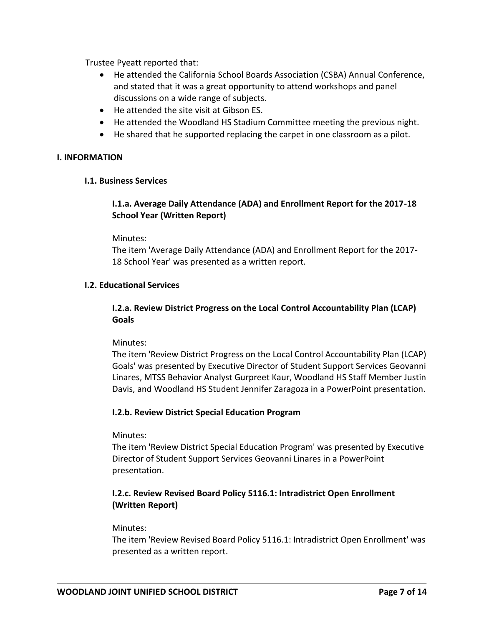Trustee Pyeatt reported that:

- He attended the California School Boards Association (CSBA) Annual Conference, and stated that it was a great opportunity to attend workshops and panel discussions on a wide range of subjects.
- He attended the site visit at Gibson ES.
- He attended the Woodland HS Stadium Committee meeting the previous night.
- He shared that he supported replacing the carpet in one classroom as a pilot.

### **I. INFORMATION**

### **I.1. Business Services**

# **I.1.a. Average Daily Attendance (ADA) and Enrollment Report for the 2017-18 School Year (Written Report)**

Minutes:

The item 'Average Daily Attendance (ADA) and Enrollment Report for the 2017- 18 School Year' was presented as a written report.

### **I.2. Educational Services**

# **I.2.a. Review District Progress on the Local Control Accountability Plan (LCAP) Goals**

Minutes:

The item 'Review District Progress on the Local Control Accountability Plan (LCAP) Goals' was presented by Executive Director of Student Support Services Geovanni Linares, MTSS Behavior Analyst Gurpreet Kaur, Woodland HS Staff Member Justin Davis, and Woodland HS Student Jennifer Zaragoza in a PowerPoint presentation.

### **I.2.b. Review District Special Education Program**

Minutes:

The item 'Review District Special Education Program' was presented by Executive Director of Student Support Services Geovanni Linares in a PowerPoint presentation.

# **I.2.c. Review Revised Board Policy 5116.1: Intradistrict Open Enrollment (Written Report)**

### Minutes:

The item 'Review Revised Board Policy 5116.1: Intradistrict Open Enrollment' was presented as a written report.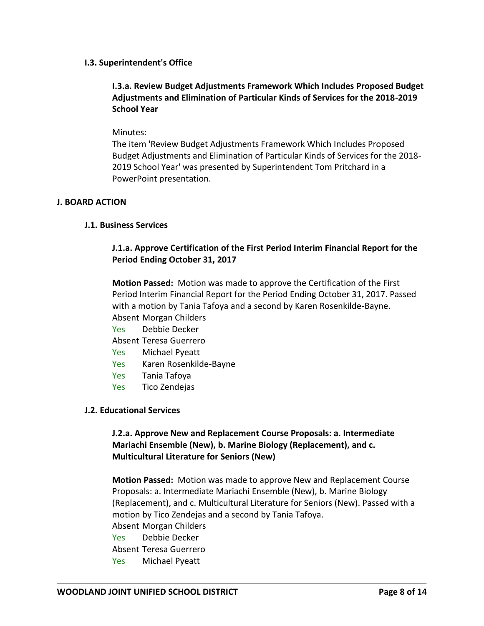### **I.3. Superintendent's Office**

# **I.3.a. Review Budget Adjustments Framework Which Includes Proposed Budget Adjustments and Elimination of Particular Kinds of Services for the 2018-2019 School Year**

#### Minutes:

The item 'Review Budget Adjustments Framework Which Includes Proposed Budget Adjustments and Elimination of Particular Kinds of Services for the 2018- 2019 School Year' was presented by Superintendent Tom Pritchard in a PowerPoint presentation.

#### **J. BOARD ACTION**

### **J.1. Business Services**

### **J.1.a. Approve Certification of the First Period Interim Financial Report for the Period Ending October 31, 2017**

**Motion Passed:** Motion was made to approve the Certification of the First Period Interim Financial Report for the Period Ending October 31, 2017. Passed with a motion by Tania Tafoya and a second by Karen Rosenkilde-Bayne. Absent Morgan Childers

- Yes Debbie Decker
- Absent Teresa Guerrero
- Yes Michael Pyeatt
- Yes Karen Rosenkilde-Bayne
- Yes Tania Tafoya
- Yes Tico Zendejas

### **J.2. Educational Services**

# **J.2.a. Approve New and Replacement Course Proposals: a. Intermediate Mariachi Ensemble (New), b. Marine Biology (Replacement), and c. Multicultural Literature for Seniors (New)**

**Motion Passed:** Motion was made to approve New and Replacement Course Proposals: a. Intermediate Mariachi Ensemble (New), b. Marine Biology (Replacement), and c. Multicultural Literature for Seniors (New). Passed with a motion by Tico Zendejas and a second by Tania Tafoya. Absent Morgan Childers Yes Debbie Decker Absent Teresa Guerrero Yes Michael Pyeatt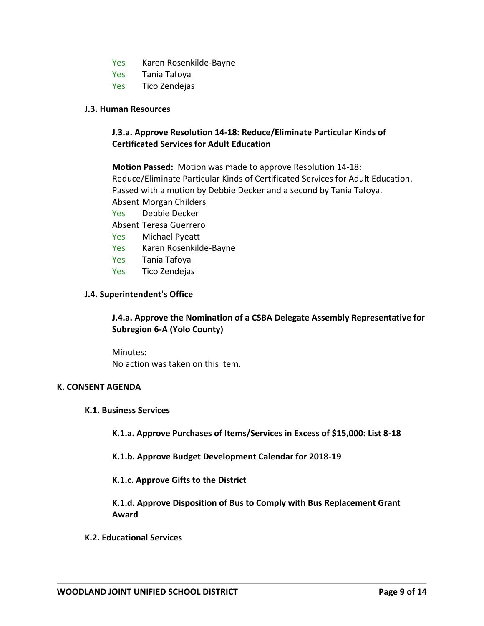- Yes Karen Rosenkilde-Bayne
- Yes Tania Tafoya
- Yes Tico Zendejas

#### **J.3. Human Resources**

# **J.3.a. Approve Resolution 14-18: Reduce/Eliminate Particular Kinds of Certificated Services for Adult Education**

**Motion Passed:** Motion was made to approve Resolution 14-18: Reduce/Eliminate Particular Kinds of Certificated Services for Adult Education. Passed with a motion by Debbie Decker and a second by Tania Tafoya. Absent Morgan Childers Yes Debbie Decker Absent Teresa Guerrero Yes Michael Pyeatt Yes Karen Rosenkilde-Bayne Yes Tania Tafoya Yes Tico Zendejas

#### **J.4. Superintendent's Office**

# **J.4.a. Approve the Nomination of a CSBA Delegate Assembly Representative for Subregion 6-A (Yolo County)**

Minutes: No action was taken on this item.

### **K. CONSENT AGENDA**

#### **K.1. Business Services**

**K.1.a. Approve Purchases of Items/Services in Excess of \$15,000: List 8-18** 

**K.1.b. Approve Budget Development Calendar for 2018-19** 

**K.1.c. Approve Gifts to the District** 

**K.1.d. Approve Disposition of Bus to Comply with Bus Replacement Grant Award** 

#### **K.2. Educational Services**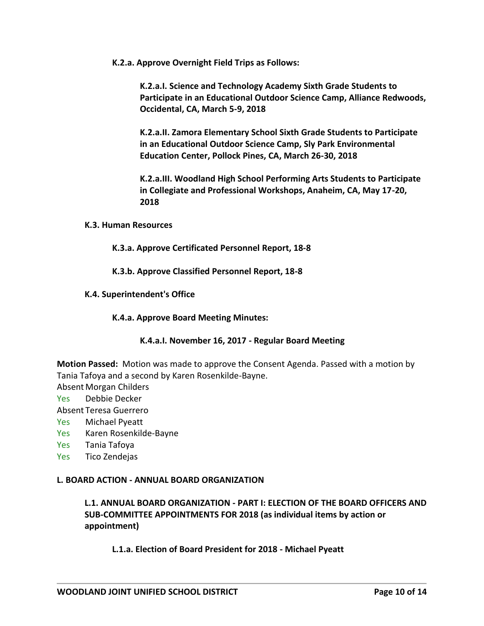**K.2.a. Approve Overnight Field Trips as Follows:**

**K.2.a.I. Science and Technology Academy Sixth Grade Students to Participate in an Educational Outdoor Science Camp, Alliance Redwoods, Occidental, CA, March 5-9, 2018** 

**K.2.a.II. Zamora Elementary School Sixth Grade Students to Participate in an Educational Outdoor Science Camp, Sly Park Environmental Education Center, Pollock Pines, CA, March 26-30, 2018** 

**K.2.a.III. Woodland High School Performing Arts Students to Participate in Collegiate and Professional Workshops, Anaheim, CA, May 17-20, 2018** 

#### **K.3. Human Resources**

**K.3.a. Approve Certificated Personnel Report, 18-8** 

**K.3.b. Approve Classified Personnel Report, 18-8** 

**K.4. Superintendent's Office** 

#### **K.4.a. Approve Board Meeting Minutes:**

### **K.4.a.I. November 16, 2017 - Regular Board Meeting**

**Motion Passed:** Motion was made to approve the Consent Agenda. Passed with a motion by Tania Tafoya and a second by Karen Rosenkilde-Bayne.

Absent Morgan Childers

- Yes Debbie Decker
- Absent Teresa Guerrero
- Yes Michael Pyeatt
- Yes Karen Rosenkilde-Bayne
- Yes Tania Tafoya
- Yes Tico Zendejas

### **L. BOARD ACTION - ANNUAL BOARD ORGANIZATION**

**L.1. ANNUAL BOARD ORGANIZATION - PART I: ELECTION OF THE BOARD OFFICERS AND SUB-COMMITTEE APPOINTMENTS FOR 2018 (as individual items by action or appointment)**

**L.1.a. Election of Board President for 2018 - Michael Pyeatt**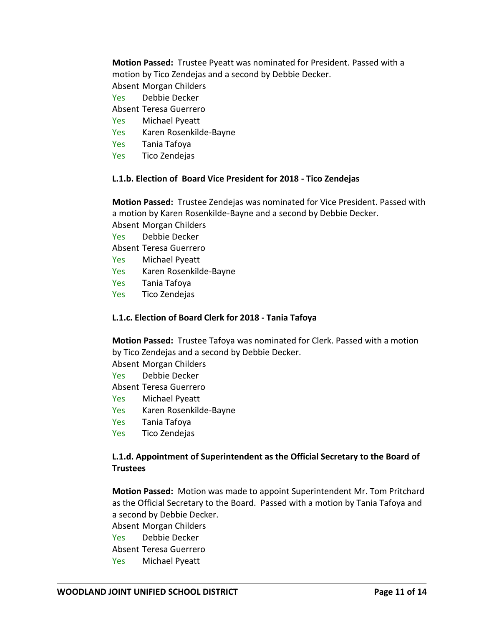**Motion Passed:** Trustee Pyeatt was nominated for President. Passed with a motion by Tico Zendejas and a second by Debbie Decker. Absent Morgan Childers

- Yes Debbie Decker
- 
- Absent Teresa Guerrero
- Yes Michael Pyeatt
- Yes Karen Rosenkilde-Bayne
- Yes Tania Tafoya
- Yes Tico Zendejas

### **L.1.b. Election of Board Vice President for 2018 - Tico Zendejas**

**Motion Passed:** Trustee Zendejas was nominated for Vice President. Passed with a motion by Karen Rosenkilde-Bayne and a second by Debbie Decker.

- Absent Morgan Childers
- Yes Debbie Decker
- Absent Teresa Guerrero
- Yes Michael Pyeatt
- Yes Karen Rosenkilde-Bayne
- Yes Tania Tafoya
- Yes Tico Zendejas

# **L.1.c. Election of Board Clerk for 2018 - Tania Tafoya**

**Motion Passed:** Trustee Tafoya was nominated for Clerk. Passed with a motion by Tico Zendejas and a second by Debbie Decker.

- Absent Morgan Childers
- Yes Debbie Decker
- Absent Teresa Guerrero
- Yes Michael Pyeatt
- Yes Karen Rosenkilde-Bayne
- Yes Tania Tafoya
- Yes Tico Zendejas

# **L.1.d. Appointment of Superintendent as the Official Secretary to the Board of Trustees**

**Motion Passed:** Motion was made to appoint Superintendent Mr. Tom Pritchard as the Official Secretary to the Board. Passed with a motion by Tania Tafoya and a second by Debbie Decker.

Absent Morgan Childers Yes Debbie Decker Absent Teresa Guerrero Yes Michael Pyeatt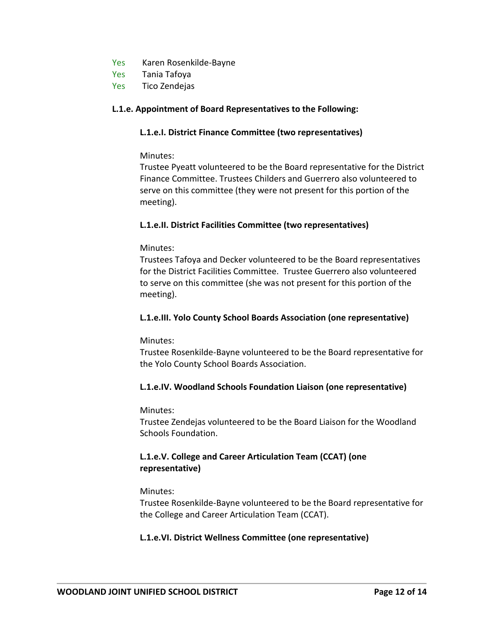- Yes Karen Rosenkilde-Bayne
- Yes Tania Tafoya
- Yes Tico Zendejas

### **L.1.e. Appointment of Board Representatives to the Following:**

### **L.1.e.I. District Finance Committee (two representatives)**

### Minutes:

Trustee Pyeatt volunteered to be the Board representative for the District Finance Committee. Trustees Childers and Guerrero also volunteered to serve on this committee (they were not present for this portion of the meeting).

### **L.1.e.II. District Facilities Committee (two representatives)**

### Minutes:

Trustees Tafoya and Decker volunteered to be the Board representatives for the District Facilities Committee. Trustee Guerrero also volunteered to serve on this committee (she was not present for this portion of the meeting).

### **L.1.e.III. Yolo County School Boards Association (one representative)**

### Minutes:

Trustee Rosenkilde-Bayne volunteered to be the Board representative for the Yolo County School Boards Association.

# **L.1.e.IV. Woodland Schools Foundation Liaison (one representative)**

### Minutes:

Trustee Zendejas volunteered to be the Board Liaison for the Woodland Schools Foundation.

# **L.1.e.V. College and Career Articulation Team (CCAT) (one representative)**

### Minutes:

Trustee Rosenkilde-Bayne volunteered to be the Board representative for the College and Career Articulation Team (CCAT).

### **L.1.e.VI. District Wellness Committee (one representative)**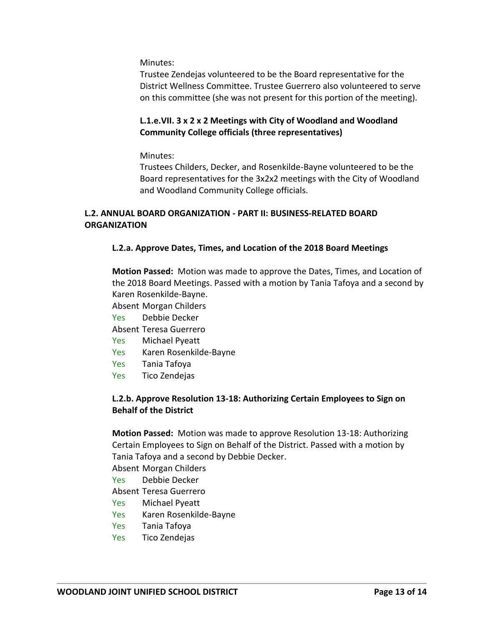Minutes:

Trustee Zendejas volunteered to be the Board representative for the District Wellness Committee. Trustee Guerrero also volunteered to serve on this committee (she was not present for this portion of the meeting).

### **L.1.e.VII. 3 x 2 x 2 Meetings with City of Woodland and Woodland Community College officials (three representatives)**

Minutes:

Trustees Childers, Decker, and Rosenkilde-Bayne volunteered to be the Board representatives for the 3x2x2 meetings with the City of Woodland and Woodland Community College officials.

# **L.2. ANNUAL BOARD ORGANIZATION - PART II: BUSINESS-RELATED BOARD ORGANIZATION**

# **L.2.a. Approve Dates, Times, and Location of the 2018 Board Meetings**

**Motion Passed:** Motion was made to approve the Dates, Times, and Location of the 2018 Board Meetings. Passed with a motion by Tania Tafoya and a second by Karen Rosenkilde-Bayne.

- Absent Morgan Childers
- Yes Debbie Decker
- Absent Teresa Guerrero
- Yes Michael Pyeatt
- Yes Karen Rosenkilde-Bayne
- Yes Tania Tafoya
- Yes Tico Zendejas

### **L.2.b. Approve Resolution 13-18: Authorizing Certain Employees to Sign on Behalf of the District**

**Motion Passed:** Motion was made to approve Resolution 13-18: Authorizing Certain Employees to Sign on Behalf of the District. Passed with a motion by Tania Tafoya and a second by Debbie Decker.

Absent Morgan Childers

- Yes Debbie Decker
- Absent Teresa Guerrero
- Yes Michael Pyeatt
- Yes Karen Rosenkilde-Bayne
- Yes Tania Tafoya
- Yes Tico Zendejas